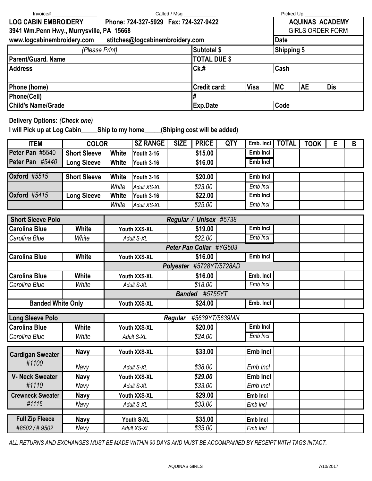| Invoice#                                                             |                       |                                  |                        |                                     |                                            |                         |                       | Picked Up               |             |            |   |  |
|----------------------------------------------------------------------|-----------------------|----------------------------------|------------------------|-------------------------------------|--------------------------------------------|-------------------------|-----------------------|-------------------------|-------------|------------|---|--|
| <b>LOG CABIN EMBROIDERY</b><br>Phone: 724-327-5929 Fax: 724-327-9422 |                       |                                  |                        |                                     |                                            |                         |                       | <b>AQUINAS ACADEMY</b>  |             |            |   |  |
| 3941 Wm.Penn Hwy., Murrysville, PA 15668                             |                       |                                  |                        |                                     |                                            |                         |                       | <b>GIRLS ORDER FORM</b> |             |            |   |  |
| www.logcabinembroidery.com stitches@logcabinembroidery.com           |                       |                                  |                        |                                     |                                            |                         |                       | <b>Date</b>             |             |            |   |  |
| (Please Print)                                                       |                       |                                  |                        |                                     |                                            | Subtotal \$             |                       | <b>Shipping \$</b>      |             |            |   |  |
| <b>Parent/Guard. Name</b>                                            |                       |                                  |                        |                                     |                                            | <b>TOTAL DUE \$</b>     |                       |                         |             |            |   |  |
| <b>Address</b>                                                       |                       |                                  |                        |                                     |                                            | $Ck$ .#<br>Cash         |                       |                         |             |            |   |  |
|                                                                      |                       |                                  |                        |                                     |                                            |                         |                       |                         |             |            |   |  |
| Phone (home)                                                         |                       |                                  |                        |                                     |                                            | Credit card:            | <b>Visa</b>           | <b>MC</b>               | <b>AE</b>   | <b>Dis</b> |   |  |
| Phone(Cell)                                                          |                       |                                  |                        |                                     |                                            | #                       |                       |                         |             |            |   |  |
| <b>Child's Name/Grade</b>                                            |                       |                                  |                        |                                     |                                            | <b>Exp.Date</b><br>Code |                       |                         |             |            |   |  |
| <b>Delivery Options: (Check one)</b>                                 |                       |                                  |                        |                                     |                                            |                         |                       |                         |             |            |   |  |
|                                                                      |                       |                                  |                        |                                     |                                            |                         |                       |                         |             |            |   |  |
| <b>ITEM</b>                                                          | <b>COLOR</b>          |                                  | <b>SZ RANGE</b>        | <b>SIZE</b>                         | <b>PRICE</b>                               | <b>QTY</b>              | Emb. Incl             | <b>TOTAL</b>            | <b>TOOK</b> | E          | B |  |
| Peter Pan #5540                                                      | <b>Short Sleeve</b>   | <b>White</b>                     | <b>Youth 3-16</b>      |                                     | \$15.00                                    |                         | Emb Incl              |                         |             |            |   |  |
| Peter Pan #5440                                                      | <b>Long Sleeve</b>    | <b>White</b>                     | Youth 3-16             |                                     | \$16.00                                    |                         | Emb Incl              |                         |             |            |   |  |
| <b>Oxford #5515</b>                                                  | <b>Short Sleeve</b>   | <b>White</b>                     | Youth 3-16             |                                     | \$20.00                                    |                         | Emb Incl              |                         |             |            |   |  |
|                                                                      |                       | White                            | <b>Adult XS-XL</b>     |                                     | \$23.00                                    |                         | Emb Incl              |                         |             |            |   |  |
| <b>Oxford</b> #5415                                                  | <b>Long Sleeve</b>    | <b>White</b>                     | Youth 3-16             |                                     | \$22.00                                    |                         | Emb Incl              |                         |             |            |   |  |
|                                                                      |                       | White                            | Adult XS-XL            |                                     | \$25.00                                    |                         | Emb Incl              |                         |             |            |   |  |
|                                                                      |                       |                                  |                        |                                     |                                            |                         |                       |                         |             |            |   |  |
| <b>Short Sleeve Polo</b>                                             |                       |                                  | Regular / Unisex #5738 |                                     |                                            |                         |                       |                         |             |            |   |  |
| <b>Carolina Blue</b>                                                 | <b>White</b>          | Youth XXS-XL                     |                        |                                     | \$19.00                                    |                         | Emb Incl              |                         |             |            |   |  |
| Carolina Blue<br>White                                               |                       | Adult S-XL                       |                        |                                     | \$22.00<br>Emb Incl                        |                         |                       |                         |             |            |   |  |
|                                                                      | <b>White</b>          |                                  |                        |                                     | Peter Pan Collar #YG503<br><b>Emb Incl</b> |                         |                       |                         |             |            |   |  |
| <b>Carolina Blue</b>                                                 | Youth XXS-XL          |                                  |                        | \$16.00<br>Polyester #5728YT/5728AD |                                            |                         |                       |                         |             |            |   |  |
|                                                                      |                       |                                  |                        |                                     |                                            |                         |                       |                         |             |            |   |  |
| Carolina Blue<br>Carolina Blue                                       | <b>White</b><br>White | Youth XXS-XL                     |                        |                                     | \$16.00<br>\$18.00                         |                         | Emb. Incl<br>Emb Incl |                         |             |            |   |  |
|                                                                      |                       | Adult S-XL                       |                        |                                     | Banded #5755YT                             |                         |                       |                         |             |            |   |  |
| <b>Banded White Only</b>                                             |                       | Youth XXS-XL                     |                        |                                     | Emb. Incl<br>\$24.00                       |                         |                       |                         |             |            |   |  |
|                                                                      |                       |                                  |                        |                                     |                                            |                         |                       |                         |             |            |   |  |
| <b>Long Sleeve Polo</b>                                              |                       | #5639YT/5639MN<br><b>Regular</b> |                        |                                     |                                            |                         |                       |                         |             |            |   |  |
| <b>Carolina Blue</b>                                                 | <b>White</b>          | Youth XXS-XL                     |                        |                                     | \$20.00                                    |                         | Emb Incl              |                         |             |            |   |  |
| Carolina Blue                                                        | White                 | Adult S-XL                       |                        |                                     | \$24.00                                    |                         | Emb Incl              |                         |             |            |   |  |
| <b>Cardigan Sweater</b><br>#1100                                     | <b>Navy</b>           | Youth XXS-XL                     |                        |                                     | \$33.00                                    |                         | <b>Emb Incl</b>       |                         |             |            |   |  |
|                                                                      | Navy                  | Adult S-XL                       |                        |                                     | \$38.00                                    |                         | Emb Incl              |                         |             |            |   |  |
| <b>V- Neck Sweater</b><br><b>Navy</b>                                |                       | Youth XXS-XL                     |                        |                                     | \$29.00                                    |                         | <b>Emb Incl</b>       |                         |             |            |   |  |
| #1110                                                                | Navy                  | Adult S-XL                       |                        |                                     | \$33.00                                    |                         | Emb Incl              |                         |             |            |   |  |
| <b>Crewneck Sweater</b>                                              | <b>Navy</b>           | Youth XXS-XL                     |                        |                                     | \$29.00                                    |                         | Emb Incl              |                         |             |            |   |  |
| #1115                                                                | Navy                  |                                  | Adult S-XL             |                                     | \$33.00                                    |                         | Emb Incl              |                         |             |            |   |  |
| <b>Full Zip Fleece</b>                                               |                       |                                  |                        |                                     |                                            |                         |                       |                         |             |            |   |  |
| #8502/#9502                                                          | <b>Navy</b><br>Navy   | Youth S-XL<br>Adult XS-XL        |                        |                                     | \$35.00<br>\$35.00                         |                         | Emb Incl<br>Emb Incl  |                         |             |            |   |  |
|                                                                      |                       |                                  |                        |                                     |                                            |                         |                       |                         |             |            |   |  |

*ALL RETURNS AND EXCHANGES MUST BE MADE WITHIN 90 DAYS AND MUST BE ACCOMPANIED BY RECEIPT WITH TAGS INTACT.*